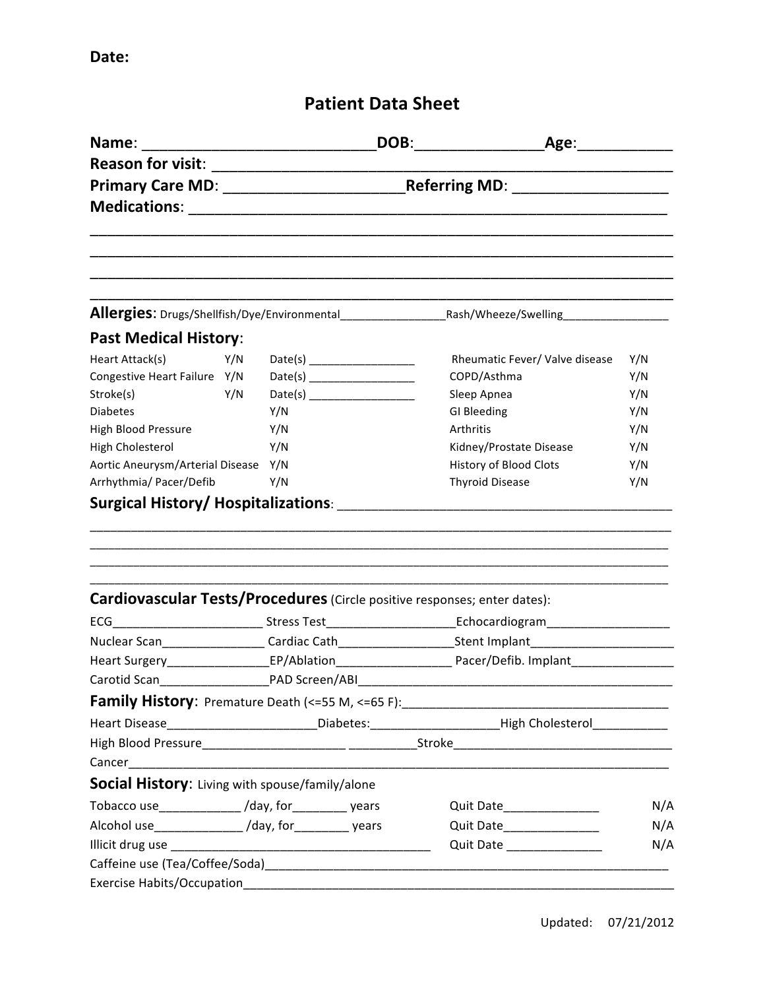## **Patient Data Sheet**

| <b>Past Medical History:</b>                                                     |     |                                                                                                                |  |  |                                                                                                                        |     |  |
|----------------------------------------------------------------------------------|-----|----------------------------------------------------------------------------------------------------------------|--|--|------------------------------------------------------------------------------------------------------------------------|-----|--|
| Heart Attack(s)                                                                  | Y/N |                                                                                                                |  |  | Rheumatic Fever/ Valve disease                                                                                         | Y/N |  |
| Congestive Heart Failure Y/N                                                     |     |                                                                                                                |  |  | COPD/Asthma                                                                                                            | Y/N |  |
| Stroke(s)                                                                        | Y/N |                                                                                                                |  |  | Sleep Apnea                                                                                                            | Y/N |  |
| <b>Diabetes</b>                                                                  |     | Y/N                                                                                                            |  |  | GI Bleeding                                                                                                            | Y/N |  |
| High Blood Pressure                                                              |     | Y/N                                                                                                            |  |  | Arthritis                                                                                                              | Y/N |  |
| High Cholesterol                                                                 |     | Y/N                                                                                                            |  |  | Kidney/Prostate Disease                                                                                                | Y/N |  |
| Aortic Aneurysm/Arterial Disease Y/N                                             |     |                                                                                                                |  |  | <b>History of Blood Clots</b>                                                                                          | Y/N |  |
| Arrhythmia/ Pacer/Defib                                                          |     | Y/N                                                                                                            |  |  | <b>Thyroid Disease</b>                                                                                                 | Y/N |  |
|                                                                                  |     |                                                                                                                |  |  |                                                                                                                        |     |  |
| <b>Cardiovascular Tests/Procedures</b> (Circle positive responses; enter dates): |     |                                                                                                                |  |  |                                                                                                                        |     |  |
|                                                                                  |     |                                                                                                                |  |  | ECG____________________________Stress Test__________________________Echocardiogram_______________________              |     |  |
|                                                                                  |     |                                                                                                                |  |  | Nuclear Scan__________________Cardiac Cath_______________________Stent Implant______________________                   |     |  |
|                                                                                  |     | Heart Surgery_____________________EP/Ablation___________________________Pacer/Defib. Implant__________________ |  |  |                                                                                                                        |     |  |
|                                                                                  |     |                                                                                                                |  |  |                                                                                                                        |     |  |
|                                                                                  |     |                                                                                                                |  |  |                                                                                                                        |     |  |
|                                                                                  |     | Heart Disease__________________________Diabetes:________________________High Cholesterol____________           |  |  |                                                                                                                        |     |  |
|                                                                                  |     |                                                                                                                |  |  |                                                                                                                        |     |  |
|                                                                                  |     |                                                                                                                |  |  |                                                                                                                        |     |  |
| Social History: Living with spouse/family/alone                                  |     |                                                                                                                |  |  |                                                                                                                        |     |  |
| Tobacco use_____________/day, for__________ years                                |     |                                                                                                                |  |  | Quit Date_______________                                                                                               | N/A |  |
| Alcohol use________________/day, for__________ years                             |     |                                                                                                                |  |  | Quit Date_________________                                                                                             | N/A |  |
|                                                                                  |     |                                                                                                                |  |  | Quit Date ___________________                                                                                          | N/A |  |
|                                                                                  |     |                                                                                                                |  |  |                                                                                                                        |     |  |
| Exercise Habits/Occupation                                                       |     |                                                                                                                |  |  | <u> 1980 - Jan Barbarat, manazarta da kasas da shekara 1980 - Ang Barbarat ng Barbarat ng Barbarat ng Barbarat ng </u> |     |  |